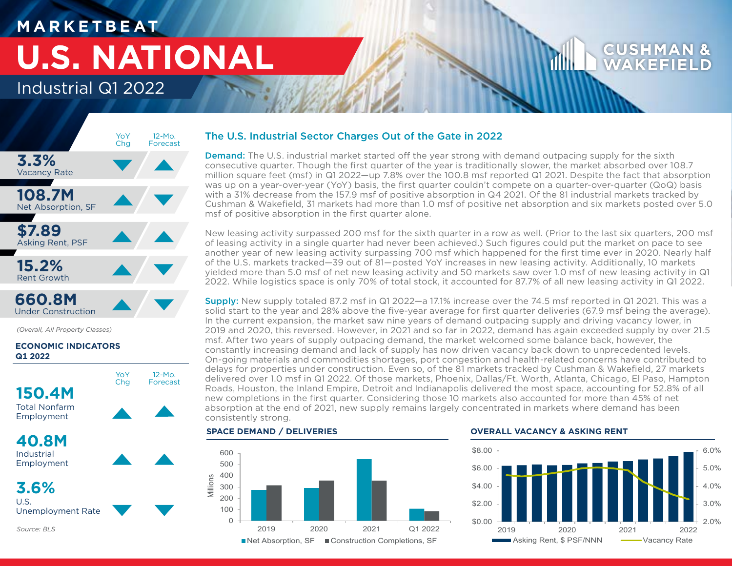# **M A R K E T B E AT U.S. NATIONAL**

## Industrial Q1 2022



Under Construction

*Source: BLS*

*(Overall, All Property Classes)*

## **ECONOMIC INDICATORS Q1 2022**



The U.S. Industrial Sector Charges Out of the Gate in 2022

**Demand:** The U.S. industrial market started off the year strong with demand outpacing supply for the sixth consecutive quarter. Though the first quarter of the year is traditionally slower, the market absorbed over 108.7 million square feet (msf) in Q1 2022—up 7.8% over the 100.8 msf reported Q1 2021. Despite the fact that absorption was up on a year-over-year (YoY) basis, the first quarter couldn't compete on a quarter-over-quarter (QoQ) basis with a 31% decrease from the 157.9 msf of positive absorption in Q4 2021. Of the 81 industrial markets tracked by Cushman & Wakefield, 31 markets had more than 1.0 msf of positive net absorption and six markets posted over 5.0 msf of positive absorption in the first quarter alone.

New leasing activity surpassed 200 msf for the sixth quarter in a row as well. (Prior to the last six quarters, 200 msf of leasing activity in a single quarter had never been achieved.) Such figures could put the market on pace to see another year of new leasing activity surpassing 700 msf which happened for the first time ever in 2020. Nearly half of the U.S. markets tracked—39 out of 81—posted YoY increases in new leasing activity. Additionally, 10 markets yielded more than 5.0 msf of net new leasing activity and 50 markets saw over 1.0 msf of new leasing activity in Q1 2022. While logistics space is only 70% of total stock, it accounted for 87.7% of all new leasing activity in Q1 2022.

Supply: New supply totaled 87.2 msf in Q1 2022—a 17.1% increase over the 74.5 msf reported in Q1 2021. This was a solid start to the year and 28% above the five-year average for first quarter deliveries (67.9 msf being the average). In the current expansion, the market saw nine years of demand outpacing supply and driving vacancy lower, in 2019 and 2020, this reversed. However, in 2021 and so far in 2022, demand has again exceeded supply by over 21.5 msf. After two years of supply outpacing demand, the market welcomed some balance back, however, the constantly increasing demand and lack of supply has now driven vacancy back down to unprecedented levels. On-going materials and commodities shortages, port congestion and health-related concerns have contributed to delays for properties under construction. Even so, of the 81 markets tracked by Cushman & Wakefield, 27 markets delivered over 1.0 msf in Q1 2022. Of those markets, Phoenix, Dallas/Ft. Worth, Atlanta, Chicago, El Paso, Hampton Roads, Houston, the Inland Empire, Detroit and Indianapolis delivered the most space, accounting for 52.8% of all new completions in the first quarter. Considering those 10 markets also accounted for more than 45% of net absorption at the end of 2021, new supply remains largely concentrated in markets where demand has been consistently strong.

### **SPACE DEMAND / DELIVERIES**



### **OVERALL VACANCY & ASKING RENT**



WAKFF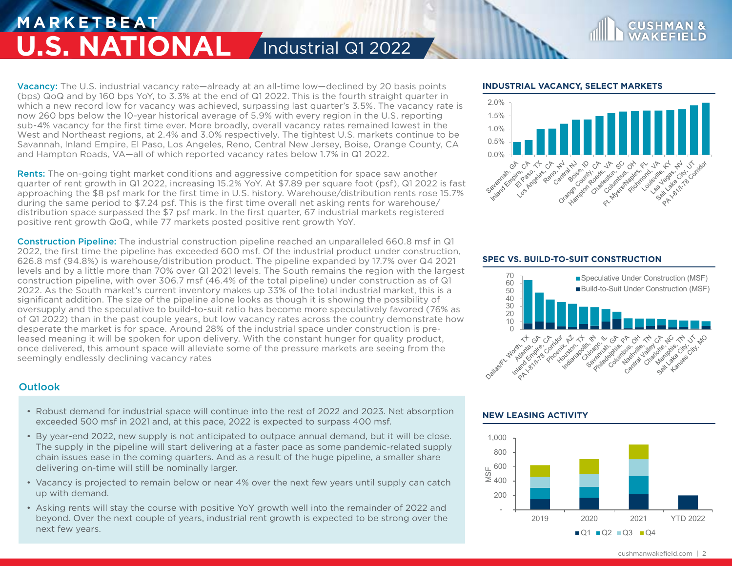## **M A R K E T B E AT U.S. NATIONAL** / Industrial Q1 2022

Vacancy: The U.S. industrial vacancy rate—already at an all-time low—declined by 20 basis points (bps) QoQ and by 160 bps YoY, to 3.3% at the end of Q1 2022. This is the fourth straight quarter in which a new record low for vacancy was achieved, surpassing last quarter's 3.5%. The vacancy rate is now 260 bps below the 10-year historical average of 5.9% with every region in the U.S. reporting sub-4% vacancy for the first time ever. More broadly, overall vacancy rates remained lowest in the West and Northeast regions, at 2.4% and 3.0% respectively. The tightest U.S. markets continue to be Savannah, Inland Empire, El Paso, Los Angeles, Reno, Central New Jersey, Boise, Orange County, CA and Hampton Roads, VA—all of which reported vacancy rates below 1.7% in Q1 2022.

Rents: The on-going tight market conditions and aggressive competition for space saw another quarter of rent growth in Q1 2022, increasing 15.2% YoY. At \$7.89 per square foot (psf), Q1 2022 is fast approaching the \$8 psf mark for the first time in U.S. history. Warehouse/distribution rents rose 15.7% during the same period to \$7.24 psf. This is the first time overall net asking rents for warehouse/ distribution space surpassed the \$7 psf mark. In the first quarter, 67 industrial markets registered positive rent growth QoQ, while 77 markets posted positive rent growth YoY.

Construction Pipeline: The industrial construction pipeline reached an unparalleled 660.8 msf in Q1 2022, the first time the pipeline has exceeded 600 msf. Of the industrial product under construction, 626.8 msf (94.8%) is warehouse/distribution product. The pipeline expanded by 17.7% over Q4 2021 levels and by a little more than 70% over Q1 2021 levels. The South remains the region with the largest construction pipeline, with over 306.7 msf (46.4% of the total pipeline) under construction as of Q1 2022. As the South market's current inventory makes up 33% of the total industrial market, this is a significant addition. The size of the pipeline alone looks as though it is showing the possibility of oversupply and the speculative to build-to-suit ratio has become more speculatively favored (76% as of Q1 2022) than in the past couple years, but low vacancy rates across the country demonstrate how desperate the market is for space. Around 28% of the industrial space under construction is preleased meaning it will be spoken for upon delivery. With the constant hunger for quality product, once delivered, this amount space will alleviate some of the pressure markets are seeing from the seemingly endlessly declining vacancy rates

## **Outlook**

- Robust demand for industrial space will continue into the rest of 2022 and 2023. Net absorption exceeded 500 msf in 2021 and, at this pace, 2022 is expected to surpass 400 msf.
- By year-end 2022, new supply is not anticipated to outpace annual demand, but it will be close. The supply in the pipeline will start delivering at a faster pace as some pandemic-related supply chain issues ease in the coming quarters. And as a result of the huge pipeline, a smaller share delivering on-time will still be nominally larger.
- Vacancy is projected to remain below or near 4% over the next few years until supply can catch up with demand.
- Asking rents will stay the course with positive YoY growth well into the remainder of 2022 and beyond. Over the next couple of years, industrial rent growth is expected to be strong over the next few years.

## **INDUSTRIAL VACANCY, SELECT MARKETS**



**CUSHMA** 

## **SPEC VS. BUILD-TO-SUIT CONSTRUCTION**



## **NEW LEASING ACTIVITY**



cushmanwakefield.com | 2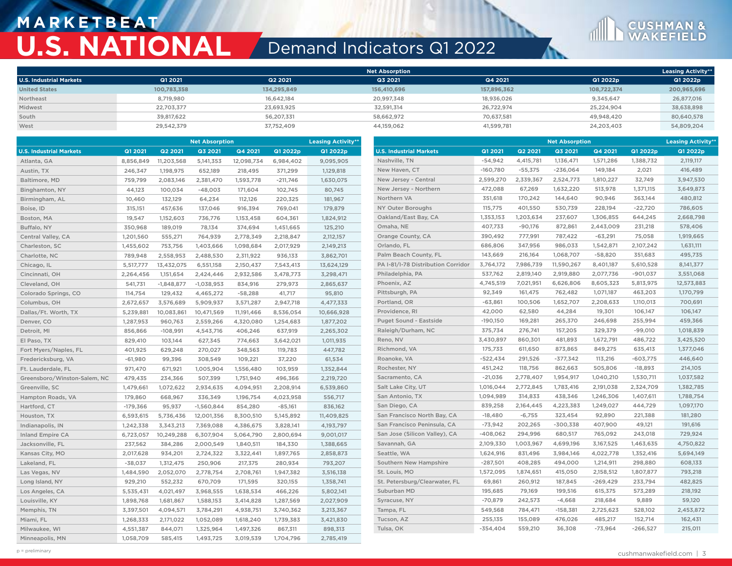## **M A R K E T B E AT U.S. NATIONAL** Demand Indicators Q1 2022



|                                |             |             | <b>Net Absorption</b> |             |             | <b>Leasing Activity**</b> |
|--------------------------------|-------------|-------------|-----------------------|-------------|-------------|---------------------------|
| <b>U.S. Industrial Markets</b> | Q1 2021     | Q2 2021     | Q3 2021               | Q4 2021     | Q1 2022p    | Q1 2022p                  |
| <b>United States</b>           | 100,783,358 | 134,295,849 | 156,410,696           | 157,896,362 | 108,722,374 | 200,965,696               |
| Northeast                      | 8.719.980   | 16.642.184  | 20,997,348            | 18.936.026  | 9.345.647   | 26,877,016                |
| Midwest                        | 22.703.377  | 23,693,925  | 32.591.314            | 26.722.974  | 25.224.904  | 38,638,898                |
| South                          | 39.817.622  | 56.207.331  | 58.662.972            | 70.637.581  | 49.948.420  | 80,640,578                |
| West                           | 29,542,379  | 37,752,409  | 44,159,062            | 41,599,781  | 24,203,403  | 54,809,204                |

|                                |            |              | <b>Net Absorption</b> |            |            | <b>Leasing Activity**</b> |                                    | <b>Net Absorption</b> |                |            |            | <b>Leasing Activity**</b> |            |
|--------------------------------|------------|--------------|-----------------------|------------|------------|---------------------------|------------------------------------|-----------------------|----------------|------------|------------|---------------------------|------------|
| <b>U.S. Industrial Markets</b> | Q1 2021    | Q2 2021      | Q3 2021               | Q4 2021    | Q1 2022p   | Q1 2022p                  | <b>U.S. Industrial Markets</b>     | Q1 2021               | <b>Q2 2021</b> | Q3 2021    | Q4 2021    | Q1 2022p                  | Q1 2022p   |
| Atlanta, GA                    | 8,856,849  | 11,203,568   | 5, 141, 353           | 12,098,734 | 6,984,402  | 9,095,905                 | Nashville, TN                      | $-54,942$             | 4,415,781      | 1,136,471  | 1,571,286  | 1,388,732                 | 2,119,117  |
| Austin, TX                     | 246,347    | 1,198,975    | 652,189               | 218,495    | 371,299    | 1,129,818                 | New Haven, CT                      | $-160,780$            | $-55,375$      | $-236,064$ | 149,184    | 2,021                     | 416,489    |
| Baltimore, MD                  | 759,799    | 2,083,146    | 2,381,470             | 1,593,778  | $-211,746$ | 1,630,075                 | New Jersey - Central               | 2,599,270             | 2,339,367      | 2,524,773  | 1,810,227  | 32,749                    | 3,947,530  |
| Binghamton, NY                 | 44,123     | 100,034      | $-48,003$             | 171,604    | 102,745    | 80,745                    | New Jersey - Northern              | 472,088               | 67,269         | 1,632,220  | 513,978    | 1,371,115                 | 3,649,873  |
| Birmingham, AL                 | 10,460     | 132,129      | 64,234                | 112,126    | 220,325    | 181,967                   | Northern VA                        | 351,618               | 170,242        | 144,640    | 90,946     | 363,144                   | 480,812    |
| Boise, ID                      | 315,151    | 457,636      | 137,046               | 916,394    | 769,041    | 179,879                   | NY Outer Boroughs                  | 115,775               | 401,550        | 530,739    | 228,194    | $-22,720$                 | 786,605    |
| Boston, MA                     | 19,547     | 1,152,603    | 736,776               | 1,153,458  | 604,361    | 1,824,912                 | Oakland/East Bay, CA               | 1,353,153             | 1,203,634      | 237,607    | 1,306,855  | 644,245                   | 2,668,798  |
| Buffalo, NY                    | 350,968    | 189,019      | 78,134                | 374,694    | 1,451,665  | 125,210                   | Omaha, NE                          | 407,733               | $-90,176$      | 872,861    | 2,443,009  | 231,218                   | 578,406    |
| Central Valley, CA             | 1,201,560  | 555,271      | 764,939               | 2,778,349  | 2,218,847  | 2,112,157                 | Orange County, CA                  | 390,492               | 777,991        | 787,422    | $-63,291$  | 75,058                    | 1,919,665  |
| Charleston, SC                 | 1,455,602  | 753,756      | 1,403,666             | 1,098,684  | 2,017,929  | 2,149,213                 | Orlando, FL                        | 686,806               | 347,956        | 986,033    | 1,542,871  | 2,107,242                 | 1,631,111  |
| Charlotte, NC                  | 789,948    | 2,558,953    | 2,488,530             | 2,311,922  | 936,133    | 3,862,701                 | Palm Beach County, FL              | 143,669               | 216,164        | 1,068,707  | $-58,820$  | 351,683                   | 495,735    |
| Chicago, IL                    | 5,517,777  | 13,432,075   | 6,551,158             | 2,150,437  | 7,543,413  | 13,624,129                | PA I-81/I-78 Distribution Corridor | 3,764,172             | 7,986,739      | 11,590,267 | 8,401,187  | 5,610,528                 | 8,141,377  |
| Cincinnati, OH                 | 2,264,456  | 1,151,654    | 2,424,446             | 2,932,586  | 3,478,773  | 3,298,471                 | Philadelphia, PA                   | 537,762               | 2,819,140      | 2,919,880  | 2,077,736  | $-901,037$                | 3,551,068  |
| Cleveland, OH                  | 541,731    | $-1,848,877$ | $-1,038,953$          | 834,916    | 279,973    | 2,865,637                 | Phoenix, AZ                        | 4,745,519             | 7,021,951      | 6,626,806  | 8,605,323  | 5,813,975                 | 12,573,883 |
| Colorado Springs, CO           | 114,754    | 129,432      | 4,465,272             | $-58,288$  | 41,717     | 95,810                    | Pittsburgh, PA                     | 92,349                | 161,475        | 762,482    | 1,071,187  | 463,203                   | 1,170,799  |
| Columbus, OH                   | 2,672,657  | 3,576,689    | 5,909,937             | 3,571,287  | 2,947,718  | 4,477,333                 | Portland, OR                       | $-63,861$             | 100,506        | 1,652,707  | 2,208,633  | 1,110,013                 | 700,691    |
| Dallas/Ft. Worth, TX           | 5,239,881  | 10,083,861   | 10,471,569            | 11,191,466 | 8,536,054  | 10,666,928                | Providence, RI                     | 42,000                | 62,580         | 44,284     | 19,301     | 106,147                   | 106,147    |
| Denver, CO                     | 1,287,953  | 960,763      | 2,559,266             | 4,320,080  | 1,254,683  | 1,877,202                 | Puget Sound - Eastside             | $-190,150$            | 169,281        | 265,370    | 246,698    | 255,994                   | 459,366    |
| Detroit, MI                    | 856,866    | $-108,991$   | 4,543,716             | 406,246    | 637,919    | 2,265,302                 | Raleigh/Durham, NC                 | 375,734               | 276,741        | 157,205    | 329,379    | $-99,010$                 | 1,018,839  |
| El Paso, TX                    | 829,410    | 103,144      | 627,345               | 774,663    | 3,642,021  | 1,011,935                 | Reno, NV                           | 3,430,897             | 860,301        | 481,893    | 1,672,791  | 486,722                   | 3,425,520  |
| Fort Myers/Naples, FL          | 401,925    | 629,248      | 270,027               | 348,563    | 119,783    | 447,782                   | Richmond, VA                       | 175,733               | 611,650        | 873,865    | 849,275    | 635,413                   | 1,377,046  |
| Fredericksburg, VA             | $-61,980$  | 99,396       | 308,549               | 109,221    | 37,220     | 61,534                    | Roanoke, VA                        | $-522,434$            | 291,526        | $-377,342$ | 113,216    | $-603,775$                | 446,640    |
| Ft. Lauderdale, FL             | 971,470    | 671,921      | 1,005,904             | 1,556,480  | 103,959    | 1,352,844                 | Rochester, NY                      | 451,242               | 118,756        | 862,663    | 505,806    | $-18,893$                 | 214,105    |
| Greensboro/Winston-Salem, NC   | 479,435    | 234,366      | 507,399               | 1,751,940  | 496,366    | 2,219,720                 | Sacramento, CA                     | $-21,036$             | 2,778,407      | 1,954,917  | 1,040,210  | 1,530,711                 | 1,037,582  |
| Greenville, SC                 | 1,479,661  | 1,072,622    | 2,934,635             | 4,094,951  | 2,208,914  | 6,539,860                 | Salt Lake City, UT                 | 1,016,044             | 2,772,845      | 1,783,416  | 2,191,038  | 2,324,709                 | 1,382,785  |
| Hampton Roads, VA              | 179,860    | 668,967      | 336,349               | 1,196,754  | 4,023,958  | 556,717                   | San Antonio, TX                    | 1,094,989             | 314,833        | 438,346    | 1,246,306  | 1,407,611                 | 1,788,754  |
| Hartford, CT                   | $-179,366$ | 95,937       | $-1,560,844$          | 854,280    | $-85,161$  | 836,162                   | San Diego, CA                      | 839,258               | 2,164,445      | 4,223,383  | 1,249,027  | 444,729                   | 1,097,170  |
| Houston, TX                    | 6,593,615  | 5,736,436    | 12,001,356            | 8,300,510  | 5,145,892  | 11,409,825                | San Francisco North Bay, CA        | $-18,480$             | $-6,755$       | 323,454    | 92,890     | 221,388                   | 181,280    |
| Indianapolis, IN               | 1,242,338  | 3,343,213    | 7,369,088             | 4,386,675  | 3,828,141  | 4,193,797                 | San Francisco Peninsula, CA        | $-73,942$             | 202,265        | $-300,338$ | 407,900    | 49,121                    | 191,616    |
| <b>Inland Empire CA</b>        | 6,723,057  | 10,249,288   | 6,307,904             | 5,064,790  | 2,800,694  | 9,001,017                 | San Jose (Silicon Valley), CA      | $-408,062$            | 294,996        | 680,517    | 765,092    | 243,018                   | 729,924    |
| Jacksonville, FL               | 237,562    | 384,286      | 2,000,549             | 1,840,511  | 184,330    | 1,388,665                 | Savannah, GA                       | 2,109,330             | 1,003,967      | 4,699,196  | 3,167,525  | 1,463,635                 | 4,750,822  |
| Kansas City, MO                | 2,017,628  | 934,201      | 2,724,322             | 3,322,441  | 1,897,765  | 2,858,873                 | Seattle, WA                        | 1,624,916             | 831,496        | 3,984,146  | 4,022,778  | 1,352,416                 | 5,694,149  |
| Lakeland, FL                   | $-38,037$  | 1,312,475    | 250,906               | 217,375    | 280,934    | 793,207                   | Southern New Hampshire             | $-287,501$            | 408,285        | 494,000    | 1,214,911  | 298,880                   | 608,133    |
| Las Vegas, NV                  | 1,484,590  | 2,052,070    | 2,778,754             | 2,708,761  | 1,947,382  | 3,516,138                 | St. Louis, MO                      | 1,572,095             | 1,874,651      | 415,050    | 2,158,512  | 1,807,877                 | 793,218    |
| Long Island, NY                | 929,210    | 552,232      | 670,709               | 171,595    | 320,155    | 1,358,741                 | St. Petersburg/Clearwater, FL      | 69,861                | 260,912        | 187,845    | $-269,429$ | 233,794                   | 482,825    |
| Los Angeles, CA                | 5,535,431  | 4,021,497    | 3,968,555             | 1,638,534  | 466,226    | 5,802,141                 | Suburban MD                        | 195,685               | 79,169         | 199,516    | 615,375    | 573,289                   | 218,192    |
| Louisville, KY                 | 1,898,768  | 1,681,867    | 1,588,153             | 3,414,828  | 1,287,569  | 2,027,909                 | Syracuse, NY                       | $-70,879$             | 242,573        | $-4,668$   | 218,684    | 9,889                     | 59,120     |
| Memphis, TN                    | 3,397,501  | 4,094,571    | 3,784,291             | 4,938,751  | 3,740,362  | 3,213,367                 | Tampa, FL                          | 549,568               | 784,471        | $-158,381$ | 2,725,623  | 528,102                   | 2,453,872  |
| Miami, FL                      | 1,268,333  | 2,171,022    | 1,052,089             | 1,618,240  | 1,739,383  | 3,421,830                 | Tucson, AZ                         | 255,135               | 155,089        | 476,026    | 485,217    | 152,714                   | 162,431    |
| Milwaukee, WI                  | 4,551,387  | 844,071      | 1,325,964             | 1,497,326  | 867,311    | 898,313                   | Tulsa, OK                          | $-354,404$            | 559,210        | 36,308     | $-73,964$  | $-266,527$                | 215,011    |
| Minneapolis, MN                | 1,058,709  | 585,415      | 1,493,725             | 3,019,539  | 1,704,796  | 2,785,419                 |                                    |                       |                |            |            |                           |            |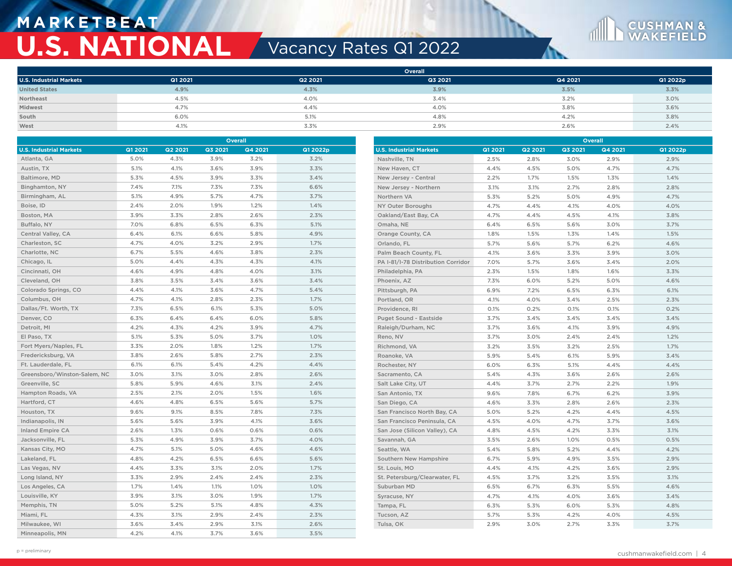## **M A R K E T B E AT U.S. NATIONAL Vacancy Rates Q1 2022**

**West** 4.1% 3.3% 2.9% 2.6% 2.4%



|                                |         |                |         | <b>Overall</b> |          |                                    |         |         |         | <b>Overall</b> |          |
|--------------------------------|---------|----------------|---------|----------------|----------|------------------------------------|---------|---------|---------|----------------|----------|
| <b>U.S. Industrial Markets</b> | Q1 2021 | <b>Q2 2021</b> | Q3 2021 | Q4 2021        | Q1 2022p | <b>U.S. Industrial Markets</b>     | Q1 2021 | Q2 2021 | Q3 2021 | Q4 2021        | Q1 2022p |
| Atlanta, GA                    | 5.0%    | 4.3%           | 3.9%    | 3.2%           | 3.2%     | Nashville, TN                      | 2.5%    | 2.8%    | 3.0%    | 2.9%           | 2.9%     |
| Austin, TX                     | 5.1%    | 4.1%           | 3.6%    | 3.9%           | 3.3%     | New Haven, CT                      | 4.4%    | 4.5%    | 5.0%    | 4.7%           | 4.7%     |
| Baltimore, MD                  | 5.3%    | 4.5%           | 3.9%    | 3.3%           | 3.4%     | New Jersey - Central               | 2.2%    | 1.7%    | 1.5%    | 1.3%           | 1.4%     |
| Binghamton, NY                 | 7.4%    | 7.1%           | 7.3%    | 7.3%           | 6.6%     | New Jersey - Northern              | 3.1%    | 3.1%    | 2.7%    | 2.8%           | 2.8%     |
| Birmingham, AL                 | 5.1%    | 4.9%           | 5.7%    | 4.7%           | 3.7%     | Northern VA                        | 5.3%    | 5.2%    | 5.0%    | 4.9%           | 4.7%     |
| Boise, ID                      | 2.4%    | 2.0%           | 1.9%    | 1.2%           | 1.4%     | NY Outer Boroughs                  | 4.7%    | 4.4%    | 4.1%    | 4.0%           | 4.0%     |
| Boston, MA                     | 3.9%    | 3.3%           | 2.8%    | 2.6%           | 2.3%     | Oakland/East Bay, CA               | 4.7%    | 4.4%    | 4.5%    | 4.1%           | 3.8%     |
| Buffalo, NY                    | 7.0%    | 6.8%           | 6.5%    | 6.3%           | 5.1%     | Omaha, NE                          | 6.4%    | 6.5%    | 5.6%    | 3.0%           | 3.7%     |
| Central Valley, CA             | 6.4%    | 6.1%           | 6.6%    | 5.8%           | 4.9%     | Orange County, CA                  | 1.8%    | 1.5%    | 1.3%    | 1.4%           | 1.5%     |
| Charleston, SC                 | 4.7%    | 4.0%           | 3.2%    | 2.9%           | 1.7%     | Orlando, FL                        | 5.7%    | 5.6%    | 5.7%    | 6.2%           | 4.6%     |
| Charlotte, NC                  | 6.7%    | 5.5%           | 4.6%    | 3.8%           | 2.3%     | Palm Beach County, FL              | 4.1%    | 3.6%    | 3.3%    | 3.9%           | 3.0%     |
| Chicago, IL                    | 5.0%    | 4.4%           | 4.3%    | 4.3%           | 4.1%     | PA I-81/I-78 Distribution Corridor | 7.0%    | 5.7%    | 3.6%    | 3.4%           | 2.0%     |
| Cincinnati, OH                 | 4.6%    | 4.9%           | 4.8%    | 4.0%           | 3.1%     | Philadelphia, PA                   | 2.3%    | 1.5%    | 1.8%    | 1.6%           | 3.3%     |
| Cleveland, OH                  | 3.8%    | 3.5%           | 3.4%    | 3.6%           | 3.4%     | Phoenix, AZ                        | 7.3%    | 6.0%    | 5.2%    | 5.0%           | 4.6%     |
| Colorado Springs, CO           | 4.4%    | 4.1%           | 3.6%    | 4.7%           | 5.4%     | Pittsburgh, PA                     | 6.9%    | 7.2%    | 6.5%    | 6.3%           | 6.1%     |
| Columbus, OH                   | 4.7%    | 4.1%           | 2.8%    | 2.3%           | 1.7%     | Portland, OR                       | 4.1%    | 4.0%    | 3.4%    | 2.5%           | 2.3%     |
| Dallas/Ft. Worth, TX           | 7.3%    | 6.5%           | 6.1%    | 5.3%           | 5.0%     | Providence, RI                     | 0.1%    | 0.2%    | 0.1%    | 0.1%           | 0.2%     |
| Denver, CO                     | 6.3%    | 6.4%           | 6.4%    | 6.0%           | 5.8%     | Puget Sound - Eastside             | 3.7%    | 3.4%    | 3.4%    | 3.4%           | 3.4%     |
| Detroit, MI                    | 4.2%    | 4.3%           | 4.2%    | 3.9%           | 4.7%     | Raleigh/Durham, NC                 | 3.7%    | 3.6%    | 4.1%    | 3.9%           | 4.9%     |
| El Paso, TX                    | 5.1%    | 5.3%           | 5.0%    | 3.7%           | 1.0%     | Reno, NV                           | 3.7%    | 3.0%    | 2.4%    | 2.4%           | 1.2%     |
| Fort Myers/Naples, FL          | 3.3%    | 2.0%           | 1.8%    | 1.2%           | 1.7%     | Richmond, VA                       | 3.2%    | 3.5%    | 3.2%    | 2.5%           | 1.7%     |
| Fredericksburg, VA             | 3.8%    | 2.6%           | 5.8%    | 2.7%           | 2.3%     | Roanoke, VA                        | 5.9%    | 5.4%    | 6.1%    | 5.9%           | 3.4%     |
| Ft. Lauderdale, FL             | 6.1%    | 6.1%           | 5.4%    | 4.2%           | 4.4%     | Rochester, NY                      | 6.0%    | 6.3%    | 5.1%    | 4.4%           | 4.4%     |
| Greensboro/Winston-Salem, NC   | 3.0%    | 3.1%           | 3.0%    | 2.8%           | 2.6%     | Sacramento, CA                     | 5.4%    | 4.3%    | 3.6%    | 2.6%           | 2.6%     |
| Greenville, SC                 | 5.8%    | 5.9%           | 4.6%    | 3.1%           | 2.4%     | Salt Lake City, UT                 | 4.4%    | 3.7%    | 2.7%    | 2.2%           | 1.9%     |
| Hampton Roads, VA              | 2.5%    | 2.1%           | 2.0%    | 1.5%           | 1.6%     | San Antonio, TX                    | 9.6%    | 7.8%    | 6.7%    | 6.2%           | 3.9%     |
| Hartford, CT                   | 4.6%    | 4.8%           | 6.5%    | 5.6%           | 5.7%     | San Diego, CA                      | 4.6%    | 3.3%    | 2.8%    | 2.6%           | 2.3%     |
| Houston, TX                    | 9.6%    | 9.1%           | 8.5%    | 7.8%           | 7.3%     | San Francisco North Bay, CA        | 5.0%    | 5.2%    | 4.2%    | 4.4%           | 4.5%     |
| Indianapolis, IN               | 5.6%    | 5.6%           | 3.9%    | 4.1%           | 3.6%     | San Francisco Peninsula, CA        | 4.5%    | 4.0%    | 4.7%    | 3.7%           | 3.6%     |
| <b>Inland Empire CA</b>        | 2.6%    | 1.3%           | 0.6%    | 0.6%           | 0.6%     | San Jose (Silicon Valley), CA      | 4.8%    | 4.5%    | 4.2%    | 3.3%           | 3.1%     |
| Jacksonville, FL               | 5.3%    | 4.9%           | 3.9%    | 3.7%           | 4.0%     | Savannah, GA                       | 3.5%    | 2.6%    | 1.0%    | 0.5%           | 0.5%     |
| Kansas City, MO                | 4.7%    | 5.1%           | 5.0%    | 4.6%           | 4.6%     | Seattle, WA                        | 5.4%    | 5.8%    | 5.2%    | 4.4%           | 4.2%     |
| Lakeland, FL                   | 4.8%    | 4.2%           | 6.5%    | 6.6%           | 5.6%     | Southern New Hampshire             | 6.7%    | 5.9%    | 4.9%    | 3.5%           | 2.9%     |
| Las Vegas, NV                  | 4.4%    | 3.3%           | 3.1%    | 2.0%           | 1.7%     | St. Louis, MO                      | 4.4%    | 4.1%    | 4.2%    | 3.6%           | 2.9%     |
| Long Island, NY                | 3.3%    | 2.9%           | 2.4%    | 2.4%           | 2.3%     | St. Petersburg/Clearwater, FL      | 4.5%    | 3.7%    | 3.2%    | 3.5%           | 3.1%     |
| Los Angeles, CA                | 1.7%    | 1.4%           | 1.1%    | 1.0%           | 1.0%     | Suburban MD                        | 6.5%    | 6.7%    | 6.3%    | 5.5%           | 4.6%     |
| Louisville, KY                 | 3.9%    | 3.1%           | 3.0%    | 1.9%           | 1.7%     | Syracuse, NY                       | 4.7%    | 4.1%    | 4.0%    | 3.6%           | 3.4%     |
| Memphis, TN                    | 5.0%    | 5.2%           | 5.1%    | 4.8%           | 4.3%     | Tampa, FL                          | 6.3%    | 5.3%    | 6.0%    | 5.3%           | 4.8%     |
| Miami, FL                      | 4.3%    | 3.1%           | 2.9%    | 2.4%           | 2.3%     | Tucson, AZ                         | 5.7%    | 5.3%    | 4.2%    | 4.0%           | 4.5%     |
| Milwaukee, WI                  | 3.6%    | 3.4%           | 2.9%    | 3.1%           | 2.6%     | Tulsa, OK                          | 2.9%    | 3.0%    | 2.7%    | 3.3%           | 3.7%     |

Minneapolis, MN 4.2% 4.1% 3.7% 3.6% 3.5%

**CUSHMAN &**<br>WAKEFIELD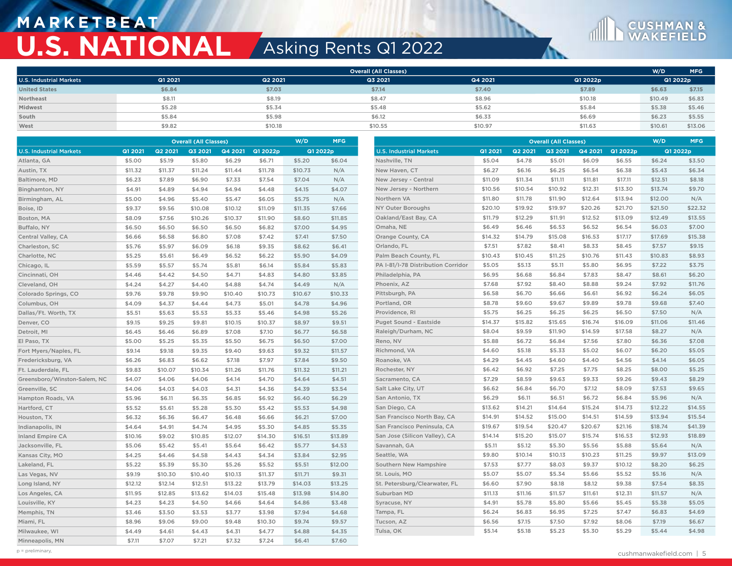## **M A R K E T B E AT U.S. NATIONAL** Asking Rents Q1 2022



|                                | <b>Overall (All Classes)</b> |         |         |         |          | W/D     | MFG      |                                    |         | <b>Overall (All Classes)</b> |         |         |          | W/D     | <b>MFG</b> |
|--------------------------------|------------------------------|---------|---------|---------|----------|---------|----------|------------------------------------|---------|------------------------------|---------|---------|----------|---------|------------|
| <b>U.S. Industrial Markets</b> | Q1 2021                      | Q2 2021 | Q3 2021 | Q4 2021 | Q1 2022p |         | Q1 2022p | <b>U.S. Industrial Markets</b>     | Q1 2021 | Q2 2021                      | Q3 2021 | Q4 2021 | Q1 2022p |         | Q1 2022p   |
| Atlanta, GA                    | \$5.00                       | \$5.19  | \$5.80  | \$6.29  | \$6.71   | \$5.20  | \$6.04   | Nashville, TN                      | \$5.04  | \$4.78                       | \$5.01  | \$6.09  | \$6.55   | \$6.24  | \$3.50     |
| Austin, TX                     | \$11.32                      | \$11.37 | \$11.24 | \$11.44 | \$11.78  | \$10.73 | N/A      | New Haven, CT                      | \$6.27  | \$6.16                       | \$6.25  | \$6.54  | \$6.38   | \$5.43  | \$6.34     |
| Baltimore, MD                  | \$6.23                       | \$7.89  | \$6.90  | \$7.33  | \$7.54   | \$7.04  | N/A      | New Jersey - Central               | \$11.09 | \$11.34                      | \$11.11 | \$11.81 | \$17.11  | \$12.51 | \$8.18     |
| Binghamton, NY                 | \$4.91                       | \$4.89  | \$4.94  | \$4.94  | \$4.48   | \$4.15  | \$4.07   | New Jersey - Northern              | \$10.56 | \$10.54                      | \$10.92 | \$12.31 | \$13.30  | \$13.74 | \$9.70     |
| Birmingham, AL                 | \$5.00                       | \$4.96  | \$5.40  | \$5.47  | \$6.05   | \$5.75  | N/A      | Northern VA                        | \$11.80 | \$11.78                      | \$11.90 | \$12.64 | \$13.94  | \$12.00 | N/A        |
| Boise, ID                      | \$9.37                       | \$9.56  | \$10.08 | \$10.12 | \$11.09  | \$11.35 | \$7.66   | NY Outer Boroughs                  | \$20.10 | \$19.92                      | \$19.97 | \$20.26 | \$21.70  | \$21.50 | \$22.32    |
| Boston, MA                     | \$8.09                       | \$7.56  | \$10.26 | \$10.37 | \$11.90  | \$8.60  | \$11.85  | Oakland/East Bay, CA               | \$11.79 | \$12.29                      | \$11.91 | \$12.52 | \$13.09  | \$12.49 | \$13.55    |
| Buffalo, NY                    | \$6.50                       | \$6.50  | \$6.50  | \$6.50  | \$6.82   | \$7.00  | \$4.95   | Omaha, NE                          | \$6.49  | \$6.46                       | \$6.53  | \$6.52  | \$6.54   | \$6.03  | \$7.00     |
| Central Valley, CA             | \$6.66                       | \$6.58  | \$6.80  | \$7.08  | \$7.42   | \$7.41  | \$7.50   | Orange County, CA                  | \$14.32 | \$14.79                      | \$15.08 | \$16.53 | \$17.17  | \$17.69 | \$15.38    |
| Charleston, SC                 | \$5.76                       | \$5.97  | \$6.09  | \$6.18  | \$9.35   | \$8.62  | \$6.41   | Orlando, FL                        | \$7.51  | \$7.82                       | \$8.41  | \$8.33  | \$8.45   | \$7.57  | \$9.15     |
| Charlotte, NC                  | \$5.25                       | \$5.61  | \$6.49  | \$6.52  | \$6.22   | \$5.90  | \$4.09   | Palm Beach County, FL              | \$10.43 | \$10.45                      | \$11.25 | \$10.76 | \$11.43  | \$10.83 | \$8.93     |
| Chicago, IL                    | \$5.59                       | \$5.57  | \$5.74  | \$5.81  | \$6.14   | \$5.84  | \$5.83   | PA I-81/I-78 Distribution Corridor | \$5.05  | \$5.13                       | \$5.11  | \$5.80  | \$6.95   | \$7.22  | \$3.75     |
| Cincinnati, OH                 | \$4.46                       | \$4.42  | \$4.50  | \$4.71  | \$4.83   | \$4.80  | \$3.85   | Philadelphia, PA                   | \$6.95  | \$6.68                       | \$6.84  | \$7.83  | \$8.47   | \$8.61  | \$6.20     |
| Cleveland, OH                  | \$4.24                       | \$4.27  | \$4.40  | \$4.88  | \$4.74   | \$4.49  | N/A      | Phoenix, AZ                        | \$7.68  | \$7.92                       | \$8.40  | \$8.88  | \$9.24   | \$7.92  | \$11.76    |
| Colorado Springs, CO           | \$9.76                       | \$9.78  | \$9.90  | \$10.40 | \$10.73  | \$10.67 | \$10.33  | Pittsburgh, PA                     | \$6.58  | \$6.70                       | \$6.66  | \$6.61  | \$6.92   | \$6.24  | \$6.05     |
| Columbus, OH                   | \$4.09                       | \$4.37  | \$4.44  | \$4.73  | \$5.01   | \$4.78  | \$4.96   | Portland, OR                       | \$8.78  | \$9.60                       | \$9.67  | \$9.89  | \$9.78   | \$9.68  | \$7.40     |
| Dallas/Ft. Worth, TX           | \$5.51                       | \$5.63  | \$5.53  | \$5.33  | \$5.46   | \$4.98  | \$5.26   | Providence, RI                     | \$5.75  | \$6.25                       | \$6.25  | \$6.25  | \$6.50   | \$7.50  | N/A        |
| Denver, CO                     | \$9.15                       | \$9.25  | \$9.81  | \$10.15 | \$10.37  | \$8.97  | \$9.51   | <b>Puget Sound - Eastside</b>      | \$14.37 | \$15.82                      | \$15.65 | \$16.74 | \$16.09  | \$11.06 | \$11.46    |
| Detroit, MI                    | \$6.45                       | \$6.46  | \$6.89  | \$7.08  | \$7.10   | \$6.77  | \$6.58   | Raleigh/Durham, NC                 | \$8.04  | \$9.59                       | \$11.90 | \$14.59 | \$17.58  | \$8.27  | N/A        |
| El Paso, TX                    | \$5.00                       | \$5.25  | \$5.35  | \$5.50  | \$6.75   | \$6.50  | \$7.00   | Reno, NV                           | \$5.88  | \$6.72                       | \$6.84  | \$7.56  | \$7.80   | \$6.36  | \$7.08     |
| Fort Myers/Naples, FL          | \$9.14                       | \$9.18  | \$9.35  | \$9.40  | \$9.63   | \$9.32  | \$11.57  | Richmond, VA                       | \$4.60  | \$5.18                       | \$5.33  | \$5.02  | \$6.07   | \$6.20  | \$5.05     |
| Fredericksburg, VA             | \$6.26                       | \$6.83  | \$6.62  | \$7.18  | \$7.97   | \$7.84  | \$9.50   | Roanoke, VA                        | \$4.29  | \$4.45                       | \$4.60  | \$4.40  | \$4.56   | \$4.14  | \$6.05     |
| Ft. Lauderdale, FL             | \$9.83                       | \$10.07 | \$10.34 | \$11.26 | \$11.76  | \$11.32 | \$11.21  | Rochester, NY                      | \$6.42  | \$6.92                       | \$7.25  | \$7.75  | \$8.25   | \$8.00  | \$5.25     |
| Greensboro/Winston-Salem, NC   | \$4.07                       | \$4.06  | \$4.06  | \$4.14  | \$4.70   | \$4.64  | \$4.51   | Sacramento, CA                     | \$7.29  | \$8.59                       | \$9.63  | \$9.33  | \$9.26   | \$9.43  | \$8.29     |
| Greenville, SC                 | \$4.06                       | \$4.03  | \$4.03  | \$4.31  | \$4.36   | \$4.39  | \$3.54   | Salt Lake City, UT                 | \$6.62  | \$6.84                       | \$6.70  | \$7.12  | \$8.09   | \$7.53  | \$9.65     |
| Hampton Roads, VA              | \$5.96                       | \$6.11  | \$6.35  | \$6.85  | \$6.92   | \$6.40  | \$6.29   | San Antonio, TX                    | \$6.29  | \$6.11                       | \$6.51  | \$6.72  | \$6.84   | \$5.96  | N/A        |
| Hartford, CT                   | \$5.52                       | \$5.61  | \$5.28  | \$5.30  | \$5.42   | \$5.53  | \$4.98   | San Diego, CA                      | \$13.62 | \$14.21                      | \$14.64 | \$15.24 | \$14.73  | \$12.22 | \$14.55    |
| Houston, TX                    | \$6.32                       | \$6.36  | \$6.47  | \$6.48  | \$6.66   | \$6.21  | \$7.00   | San Francisco North Bay, CA        | \$14.91 | \$14.52                      | \$15.00 | \$14.51 | \$14.59  | \$13.94 | \$15.54    |
| Indianapolis, IN               | \$4.64                       | \$4.91  | \$4.74  | \$4.95  | \$5.30   | \$4.85  | \$5.35   | San Francisco Peninsula, CA        | \$19.67 | \$19.54                      | \$20.47 | \$20.67 | \$21.16  | \$18.74 | \$41.39    |
| <b>Inland Empire CA</b>        | \$10.16                      | \$9.02  | \$10.85 | \$12.07 | \$14.30  | \$16.51 | \$13.89  | San Jose (Silicon Valley), CA      | \$14.14 | \$15.20                      | \$15.07 | \$15.74 | \$16.53  | \$12.93 | \$18.89    |
| Jacksonville, FL               | \$5.06                       | \$5.42  | \$5.41  | \$5.64  | \$6.42   | \$5.77  | \$4.53   | Savannah, GA                       | \$5.11  | \$5.12                       | \$5.30  | \$5.56  | \$5.88   | \$5.64  | N/A        |
| Kansas City, MO                | \$4.25                       | \$4.46  | \$4.58  | \$4.43  | \$4.34   | \$3.84  | \$2.95   | Seattle, WA                        | \$9.80  | \$10.14                      | \$10.13 | \$10.23 | \$11.25  | \$9.97  | \$13.09    |
| Lakeland, FL                   | \$5.22                       | \$5.39  | \$5.30  | \$5.26  | \$5.52   | \$5.51  | \$12.00  | Southern New Hampshire             | \$7.53  | \$7.77                       | \$8.03  | \$9.37  | \$10.12  | \$8.20  | \$6.25     |
| Las Vegas, NV                  | \$9.19                       | \$10.30 | \$10.40 | \$10.13 | \$11.37  | \$11.71 | \$9.31   | St. Louis, MO                      | \$5.07  | \$5.07                       | \$5.34  | \$5.66  | \$5.52   | \$5.16  | N/A        |
| Long Island, NY                | \$12.12                      | \$12.14 | \$12.51 | \$13.22 | \$13.79  | \$14.03 | \$13.25  | St. Petersburg/Clearwater, FL      | \$6.60  | \$7.90                       | \$8.18  | \$8.12  | \$9.38   | \$7.54  | \$8.35     |
| Los Angeles, CA                | \$11.95                      | \$12.85 | \$13.62 | \$14.03 | \$15.48  | \$13.98 | \$14.80  | Suburban MD                        | \$11.13 | \$11.16                      | \$11.57 | \$11.61 | \$12.31  | \$11.57 | N/A        |
| Louisville, KY                 | \$4.23                       | \$4.23  | \$4.50  | \$4.66  | \$4.64   | \$4.86  | \$3.48   | Syracuse, NY                       | \$4.91  | \$5.78                       | \$5.80  | \$5.66  | \$5.45   | \$5.38  | \$5.05     |
| Memphis, TN                    | \$3.46                       | \$3.50  | \$3.53  | \$3.77  | \$3.98   | \$7.94  | \$4.68   | Tampa, FL                          | \$6.24  | \$6.83                       | \$6.95  | \$7.25  | \$7.47   | \$6.83  | \$4.69     |
| Miami, FL                      | \$8.96                       | \$9.06  | \$9.00  | \$9.48  | \$10.30  | \$9.74  | \$9.57   | Tucson, AZ                         | \$6.56  | \$7.15                       | \$7.50  | \$7.92  | \$8.06   | \$7.19  | \$6.67     |
| Milwaukee, WI                  | \$4.49                       | \$4.61  | \$4.43  | \$4.31  | \$4.77   | \$4.88  | \$4.35   | Tulsa, OK                          | \$5.14  | \$5.18                       | \$5.23  | \$5.30  | \$5.29   | \$5.44  | \$4.98     |
| Minneapolis, MN                | \$7.11                       | \$7.07  | \$7.21  | \$7.32  | \$7.24   | \$6.41  | \$7.60   |                                    |         |                              |         |         |          |         |            |

**CUSHMAN &**<br>WAKEFIELD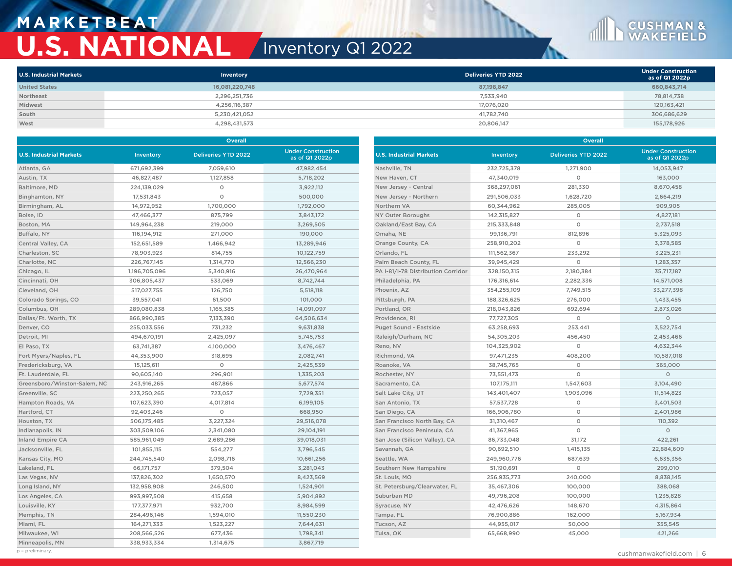## **M A R K E T B E AT U.S. NATIONAL** Inventory Q1 2022

| <b>U.S. Industrial Markets</b> | Inventory      | Deliveries YTD 2022 | <b>Under Construction</b><br>as of Q1 2022p |
|--------------------------------|----------------|---------------------|---------------------------------------------|
| <b>United States</b>           | 16,081,220,748 | 87,198,847          | 660,843,714                                 |
| Northeast                      | 2,296,251,736  | 7,533,940           | 78,814,738                                  |
| Midwest                        | 4,256,116,387  | 17,076,020          | 120,163,421                                 |
| South                          | 5,230,421,052  | 41,782,740          | 306,686,629                                 |
| West                           | 4,298,431,573  | 20,806,147          | 155,178,926                                 |

|                                |               | Overall                    |                                             |                                    |             | Overall                    |                                             |  |  |  |
|--------------------------------|---------------|----------------------------|---------------------------------------------|------------------------------------|-------------|----------------------------|---------------------------------------------|--|--|--|
| <b>U.S. Industrial Markets</b> | Inventory     | <b>Deliveries YTD 2022</b> | <b>Under Construction</b><br>as of Q1 2022p | <b>U.S. Industrial Markets</b>     | Inventory   | <b>Deliveries YTD 2022</b> | <b>Under Construction</b><br>as of Q1 2022p |  |  |  |
| Atlanta, GA                    | 671,692,399   | 7,059,610                  | 47,982,454                                  | Nashville, TN                      | 232,725,378 | 1,271,900                  | 14,053,947                                  |  |  |  |
| Austin, TX                     | 46,827,487    | 1,127,858                  | 5,718,202                                   | New Haven, CT                      | 47,340,019  | $\circ$                    | 163,000                                     |  |  |  |
| Baltimore, MD                  | 224,139,029   | $\circ$                    | 3,922,112                                   | New Jersey - Central               | 368,297,061 | 281,330                    | 8,670,458                                   |  |  |  |
| Binghamton, NY                 | 17,531,843    | $\circ$                    | 500,000                                     | New Jersey - Northern              | 291,506,033 | 1,628,720                  | 2,664,219                                   |  |  |  |
| Birmingham, AL                 | 14,972,952    | 1,700,000                  | 1,792,000                                   | Northern VA                        | 60,344,962  | 285,005                    | 909,905                                     |  |  |  |
| Boise, ID                      | 47,466,377    | 875,799                    | 3,843,172                                   | NY Outer Boroughs                  | 142,315,827 | $\circ$                    | 4,827,181                                   |  |  |  |
| Boston, MA                     | 149,964,238   | 219,000                    | 3,269,505                                   | Oakland/East Bay, CA               | 215,333,848 | $\circ$                    | 2,737,518                                   |  |  |  |
| Buffalo, NY                    | 116,194,912   | 271,000                    | 190,000                                     | Omaha, NE                          | 99,136,791  | 812,896                    | 5,325,093                                   |  |  |  |
| Central Valley, CA             | 152,651,589   | 1,466,942                  | 13.289.946                                  | Orange County, CA                  | 258,910,202 | $\circ$                    | 3,378,585                                   |  |  |  |
| Charleston, SC                 | 78,903,923    | 814,755                    | 10,122,759                                  | Orlando, FL                        | 111,562,367 | 233,292                    | 3,225,231                                   |  |  |  |
| Charlotte, NC                  | 226,767,145   | 1,314,770                  | 12,566,230                                  | Palm Beach County, FL              | 39,945,429  | $\circ$                    | 1,283,357                                   |  |  |  |
| Chicago, IL                    | 1,196,705,096 | 5,340,916                  | 26,470,964                                  | PA I-81/I-78 Distribution Corridor | 328,150,315 | 2,180,384                  | 35,717,187                                  |  |  |  |
| Cincinnati, OH                 | 306,805,437   | 533,069                    | 8,742,744                                   | Philadelphia, PA                   | 176,316,614 | 2,282,336                  | 14,571,008                                  |  |  |  |
| Cleveland, OH                  | 517,027,755   | 126,750                    | 5,518,118                                   | Phoenix, AZ                        | 354,255,109 | 7,749,515                  | 33,277,398                                  |  |  |  |
| Colorado Springs, CO           | 39,557,041    | 61,500                     | 101,000                                     | Pittsburgh, PA                     | 188,326,625 | 276,000                    | 1,433,455                                   |  |  |  |
| Columbus, OH                   | 289,080,838   | 1,165,385                  | 14,091,097                                  | Portland, OR                       | 218,043,826 | 692,694                    | 2,873,026                                   |  |  |  |
| Dallas/Ft. Worth, TX           | 866,990,385   | 7,133,390                  | 64,506,634                                  | Providence, RI                     | 77,727,305  | $\circ$                    | $\circ$                                     |  |  |  |
| Denver, CO                     | 255,033,556   | 731,232                    | 9,631,838                                   | Puget Sound - Eastside             | 63,258,693  | 253,441                    | 3,522,754                                   |  |  |  |
| Detroit, MI                    | 494,670,191   | 2,425,097                  | 5,745,753                                   | Raleigh/Durham, NC                 | 54,305,203  | 456,450                    | 2,453,466                                   |  |  |  |
| El Paso, TX                    | 63,741,387    | 4,100,000                  | 3,476,467                                   | Reno, NV                           | 104,325,902 | $\circ$                    | 4,632,344                                   |  |  |  |
| Fort Myers/Naples, FL          | 44,353,900    | 318,695                    | 2,082,741                                   | Richmond, VA                       | 97,471,235  | 408,200                    | 10,587,018                                  |  |  |  |
| Fredericksburg, VA             | 15,125,611    | $\circ$                    | 2,425,539                                   | Roanoke, VA                        | 38,745,765  | $\circ$                    | 365,000                                     |  |  |  |
| Ft. Lauderdale, FL             | 90,605,140    | 296,901                    | 1,335,203                                   | Rochester, NY                      | 73,551,473  | $\circ$                    | $\circ$                                     |  |  |  |
| Greensboro/Winston-Salem, NC   | 243,916,265   | 487,866                    | 5,677,574                                   | Sacramento, CA                     | 107,175,111 | 1,547,603                  | 3,104,490                                   |  |  |  |
| Greenville, SC                 | 223,250,265   | 723,057                    | 7,729,351                                   | Salt Lake City, UT                 | 143,401,407 | 1,903,096                  | 11,514,823                                  |  |  |  |
| Hampton Roads, VA              | 107,623,390   | 4,017,814                  | 6,199,105                                   | San Antonio, TX                    | 57,537,728  | $\circ$                    | 3,401,503                                   |  |  |  |
| Hartford, CT                   | 92,403,246    | $\circ$                    | 668,950                                     | San Diego, CA                      | 166,906,780 | $\circ$                    | 2,401,986                                   |  |  |  |
| Houston, TX                    | 506,175,485   | 3,227,324                  | 29,516,078                                  | San Francisco North Bay, CA        | 31,310,467  | $\circ$                    | 110,392                                     |  |  |  |
| Indianapolis, IN               | 303,509,106   | 2,341,080                  | 29,104,191                                  | San Francisco Peninsula, CA        | 41,367,965  | $\circ$                    | $\circ$                                     |  |  |  |
| <b>Inland Empire CA</b>        | 585,961,049   | 2,689,286                  | 39,018,031                                  | San Jose (Silicon Valley), CA      | 86,733,048  | 31,172                     | 422,261                                     |  |  |  |
| Jacksonville, FL               | 101,855,115   | 554,277                    | 3,796,545                                   | Savannah, GA                       | 90.692.510  | 1,415,135                  | 22.884.609                                  |  |  |  |
| Kansas City, MO                | 244,745,540   | 2,098,716                  | 10,661,256                                  | Seattle, WA                        | 249,960,776 | 687,639                    | 6,635,356                                   |  |  |  |
| Lakeland, FL                   | 66,171,757    | 379,504                    | 3,281,043                                   | Southern New Hampshire             | 51,190,691  | $\circ$                    | 299,010                                     |  |  |  |
| Las Vegas, NV                  | 137,826,302   | 1,650,570                  | 8,423,569                                   | St. Louis, MO                      | 256,935,773 | 240,000                    | 8,838,145                                   |  |  |  |
| Long Island, NY                | 132,958,908   | 246,500                    | 1,524,901                                   | St. Petersburg/Clearwater, FL      | 35,467,306  | 100,000                    | 388,068                                     |  |  |  |
| Los Angeles, CA                | 993,997,508   | 415,658                    | 5,904,892                                   | Suburban MD                        | 49,796,208  | 100,000                    | 1,235,828                                   |  |  |  |
| Louisville, KY                 | 177,377,971   | 932,700                    | 8,984,599                                   | Syracuse, NY                       | 42,476,626  | 148,670                    | 4,315,864                                   |  |  |  |
| Memphis, TN                    | 284,496,146   | 1,594,010                  | 11,550,230                                  | Tampa, FL                          | 76,900,886  | 162,000                    | 5,167,934                                   |  |  |  |
| Miami, FL                      | 164,271,333   | 1,523,227                  | 7,644,631                                   | Tucson, AZ                         | 44,955,017  | 50,000                     | 355,545                                     |  |  |  |
| Milwaukee, WI                  | 208,566,526   | 677,436                    | 1,798,341                                   | Tulsa, OK                          | 65,668,990  | 45,000                     | 421,266                                     |  |  |  |
| Minneapolis, MN                | 338,933,334   | 1,314,675                  | 3,867,719                                   |                                    |             |                            |                                             |  |  |  |
| $p = preliminary$ .            |               |                            |                                             |                                    |             |                            | والمساحي فتكريب والمراجع                    |  |  |  |

**CUSHMAN &**<br>WAKEFIELD